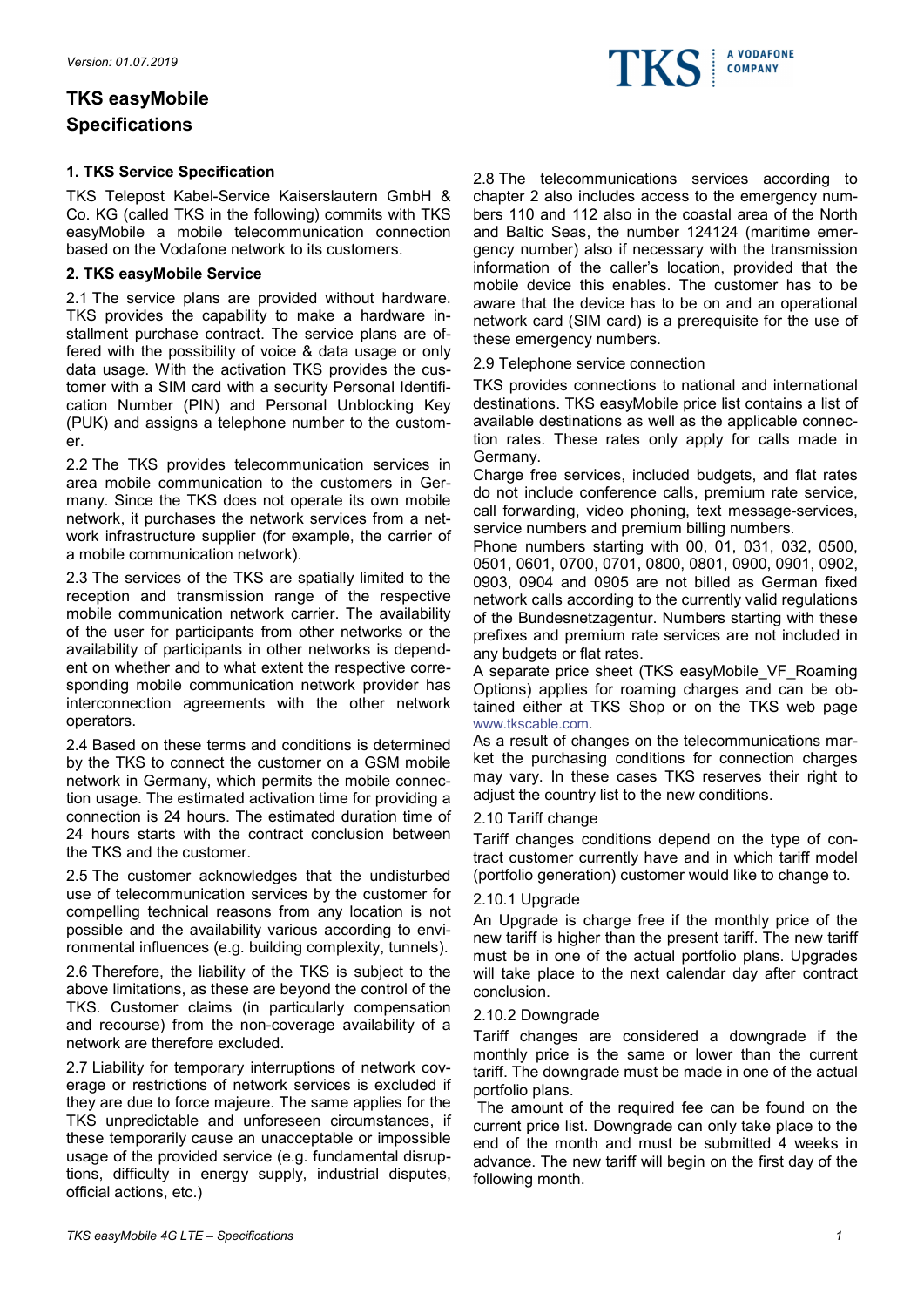# TKS easyMobile Specifications

# 1. TKS Service Specification

TKS Telepost Kabel-Service Kaiserslautern GmbH & Co. KG (called TKS in the following) commits with TKS easyMobile a mobile telecommunication connection based on the Vodafone network to its customers.

# 2. TKS easyMobile Service

2.1 The service plans are provided without hardware. TKS provides the capability to make a hardware installment purchase contract. The service plans are offered with the possibility of voice & data usage or only data usage. With the activation TKS provides the customer with a SIM card with a security Personal Identification Number (PIN) and Personal Unblocking Key (PUK) and assigns a telephone number to the customer.

2.2 The TKS provides telecommunication services in area mobile communication to the customers in Germany. Since the TKS does not operate its own mobile network, it purchases the network services from a network infrastructure supplier (for example, the carrier of a mobile communication network).

2.3 The services of the TKS are spatially limited to the reception and transmission range of the respective mobile communication network carrier. The availability of the user for participants from other networks or the availability of participants in other networks is dependent on whether and to what extent the respective corresponding mobile communication network provider has interconnection agreements with the other network operators.

2.4 Based on these terms and conditions is determined by the TKS to connect the customer on a GSM mobile network in Germany, which permits the mobile connection usage. The estimated activation time for providing a connection is 24 hours. The estimated duration time of 24 hours starts with the contract conclusion between the TKS and the customer.

2.5 The customer acknowledges that the undisturbed use of telecommunication services by the customer for compelling technical reasons from any location is not possible and the availability various according to environmental influences (e.g. building complexity, tunnels).

2.6 Therefore, the liability of the TKS is subject to the above limitations, as these are beyond the control of the TKS. Customer claims (in particularly compensation and recourse) from the non-coverage availability of a network are therefore excluded.

2.7 Liability for temporary interruptions of network coverage or restrictions of network services is excluded if they are due to force majeure. The same applies for the TKS unpredictable and unforeseen circumstances, if these temporarily cause an unacceptable or impossible usage of the provided service (e.g. fundamental disruptions, difficulty in energy supply, industrial disputes, official actions, etc.)

2.8 The telecommunications services according to chapter 2 also includes access to the emergency numbers 110 and 112 also in the coastal area of the North and Baltic Seas, the number 124124 (maritime emergency number) also if necessary with the transmission information of the caller's location, provided that the mobile device this enables. The customer has to be aware that the device has to be on and an operational network card (SIM card) is a prerequisite for the use of these emergency numbers.

2.9 Telephone service connection

TKS provides connections to national and international destinations. TKS easyMobile price list contains a list of available destinations as well as the applicable connection rates. These rates only apply for calls made in Germany.

Charge free services, included budgets, and flat rates do not include conference calls, premium rate service, call forwarding, video phoning, text message-services, service numbers and premium billing numbers.

Phone numbers starting with 00, 01, 031, 032, 0500, 0501, 0601, 0700, 0701, 0800, 0801, 0900, 0901, 0902, 0903, 0904 and 0905 are not billed as German fixed network calls according to the currently valid regulations of the Bundesnetzagentur. Numbers starting with these prefixes and premium rate services are not included in any budgets or flat rates.

A separate price sheet (TKS easyMobile\_VF\_Roaming Options) applies for roaming charges and can be obtained either at TKS Shop or on the TKS web page www.tkscable.com.

As a result of changes on the telecommunications market the purchasing conditions for connection charges may vary. In these cases TKS reserves their right to adjust the country list to the new conditions.

### 2.10 Tariff change

Tariff changes conditions depend on the type of contract customer currently have and in which tariff model (portfolio generation) customer would like to change to.

### 2.10.1 Upgrade

An Upgrade is charge free if the monthly price of the new tariff is higher than the present tariff. The new tariff must be in one of the actual portfolio plans. Upgrades will take place to the next calendar day after contract conclusion.

### 2.10.2 Downgrade

Tariff changes are considered a downgrade if the monthly price is the same or lower than the current tariff. The downgrade must be made in one of the actual portfolio plans.

 The amount of the required fee can be found on the current price list. Downgrade can only take place to the end of the month and must be submitted 4 weeks in advance. The new tariff will begin on the first day of the following month.

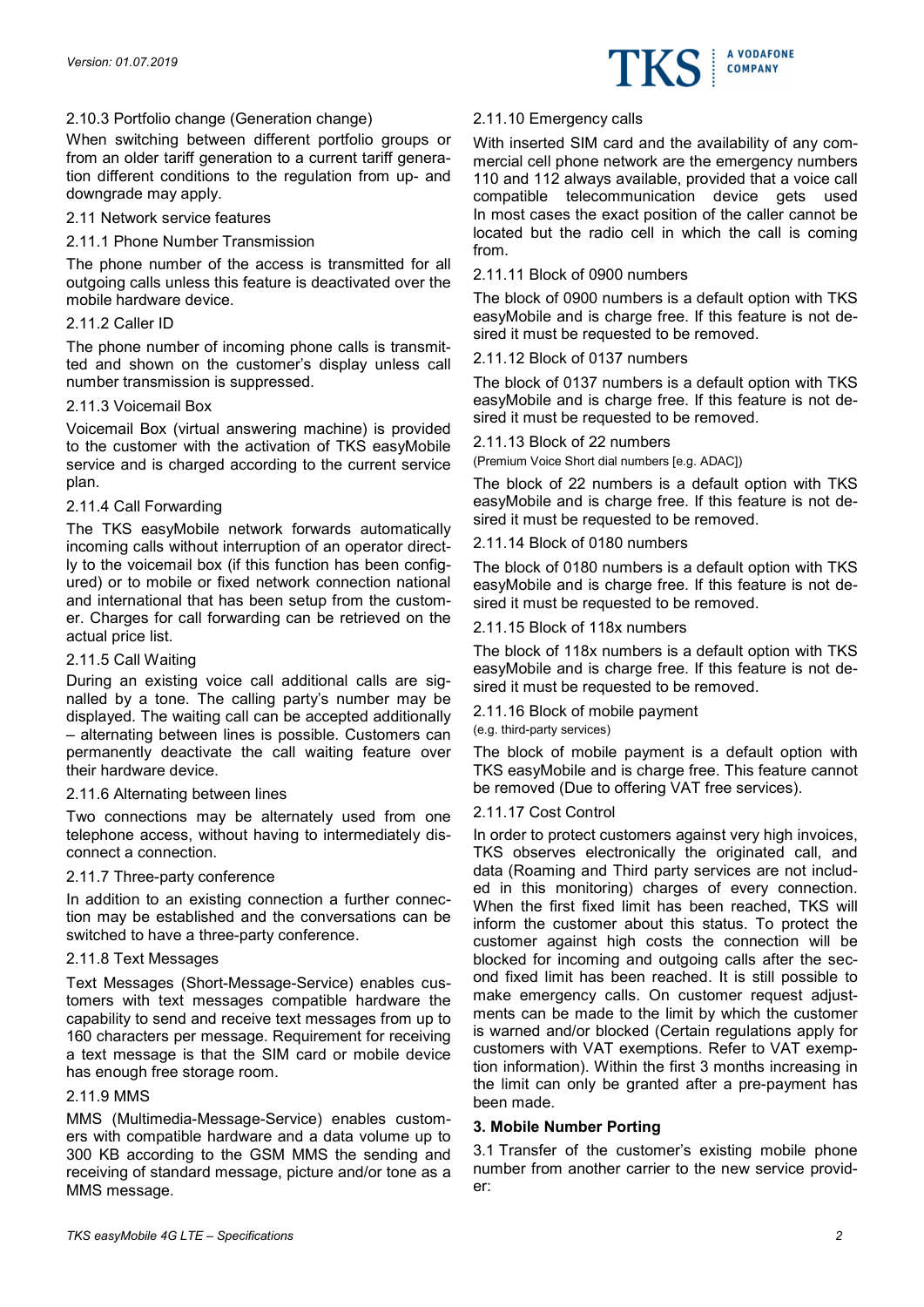

# 2.10.3 Portfolio change (Generation change)

When switching between different portfolio groups or from an older tariff generation to a current tariff generation different conditions to the regulation from up- and downgrade may apply.

### 2.11 Network service features

# 2.11.1 Phone Number Transmission

The phone number of the access is transmitted for all outgoing calls unless this feature is deactivated over the mobile hardware device.

### 2.11.2 Caller ID

The phone number of incoming phone calls is transmitted and shown on the customer's display unless call number transmission is suppressed.

# 2.11.3 Voicemail Box

Voicemail Box (virtual answering machine) is provided to the customer with the activation of TKS easyMobile service and is charged according to the current service plan.

# 2.11.4 Call Forwarding

The TKS easyMobile network forwards automatically incoming calls without interruption of an operator directly to the voicemail box (if this function has been configured) or to mobile or fixed network connection national and international that has been setup from the customer. Charges for call forwarding can be retrieved on the actual price list.

### 2.11.5 Call Waiting

During an existing voice call additional calls are signalled by a tone. The calling party's number may be displayed. The waiting call can be accepted additionally – alternating between lines is possible. Customers can permanently deactivate the call waiting feature over their hardware device.

### 2.11.6 Alternating between lines

Two connections may be alternately used from one telephone access, without having to intermediately disconnect a connection.

### 2.11.7 Three-party conference

In addition to an existing connection a further connection may be established and the conversations can be switched to have a three-party conference.

# 2.11.8 Text Messages

Text Messages (Short-Message-Service) enables customers with text messages compatible hardware the capability to send and receive text messages from up to 160 characters per message. Requirement for receiving a text message is that the SIM card or mobile device has enough free storage room.

### 2.11.9 MMS

MMS (Multimedia-Message-Service) enables customers with compatible hardware and a data volume up to 300 KB according to the GSM MMS the sending and receiving of standard message, picture and/or tone as a MMS message.

# 2.11.10 Emergency calls

With inserted SIM card and the availability of any commercial cell phone network are the emergency numbers 110 and 112 always available, provided that a voice call compatible telecommunication device gets used In most cases the exact position of the caller cannot be located but the radio cell in which the call is coming from.

# 2.11.11 Block of 0900 numbers

The block of 0900 numbers is a default option with TKS easyMobile and is charge free. If this feature is not desired it must be requested to be removed.

# 2.11.12 Block of 0137 numbers

The block of 0137 numbers is a default option with TKS easyMobile and is charge free. If this feature is not desired it must be requested to be removed.

# 2.11.13 Block of 22 numbers

(Premium Voice Short dial numbers [e.g. ADAC])

The block of 22 numbers is a default option with TKS easyMobile and is charge free. If this feature is not desired it must be requested to be removed.

# 2.11.14 Block of 0180 numbers

The block of 0180 numbers is a default option with TKS easyMobile and is charge free. If this feature is not desired it must be requested to be removed.

# 2.11.15 Block of 118x numbers

The block of 118x numbers is a default option with TKS easyMobile and is charge free. If this feature is not desired it must be requested to be removed.

### 2.11.16 Block of mobile payment

(e.g. third-party services)

The block of mobile payment is a default option with TKS easyMobile and is charge free. This feature cannot be removed (Due to offering VAT free services).

### 2.11.17 Cost Control

In order to protect customers against very high invoices, TKS observes electronically the originated call, and data (Roaming and Third party services are not included in this monitoring) charges of every connection. When the first fixed limit has been reached, TKS will inform the customer about this status. To protect the customer against high costs the connection will be blocked for incoming and outgoing calls after the second fixed limit has been reached. It is still possible to make emergency calls. On customer request adjustments can be made to the limit by which the customer is warned and/or blocked (Certain regulations apply for customers with VAT exemptions. Refer to VAT exemption information). Within the first 3 months increasing in the limit can only be granted after a pre-payment has been made.

### 3. Mobile Number Porting

3.1 Transfer of the customer's existing mobile phone number from another carrier to the new service provider: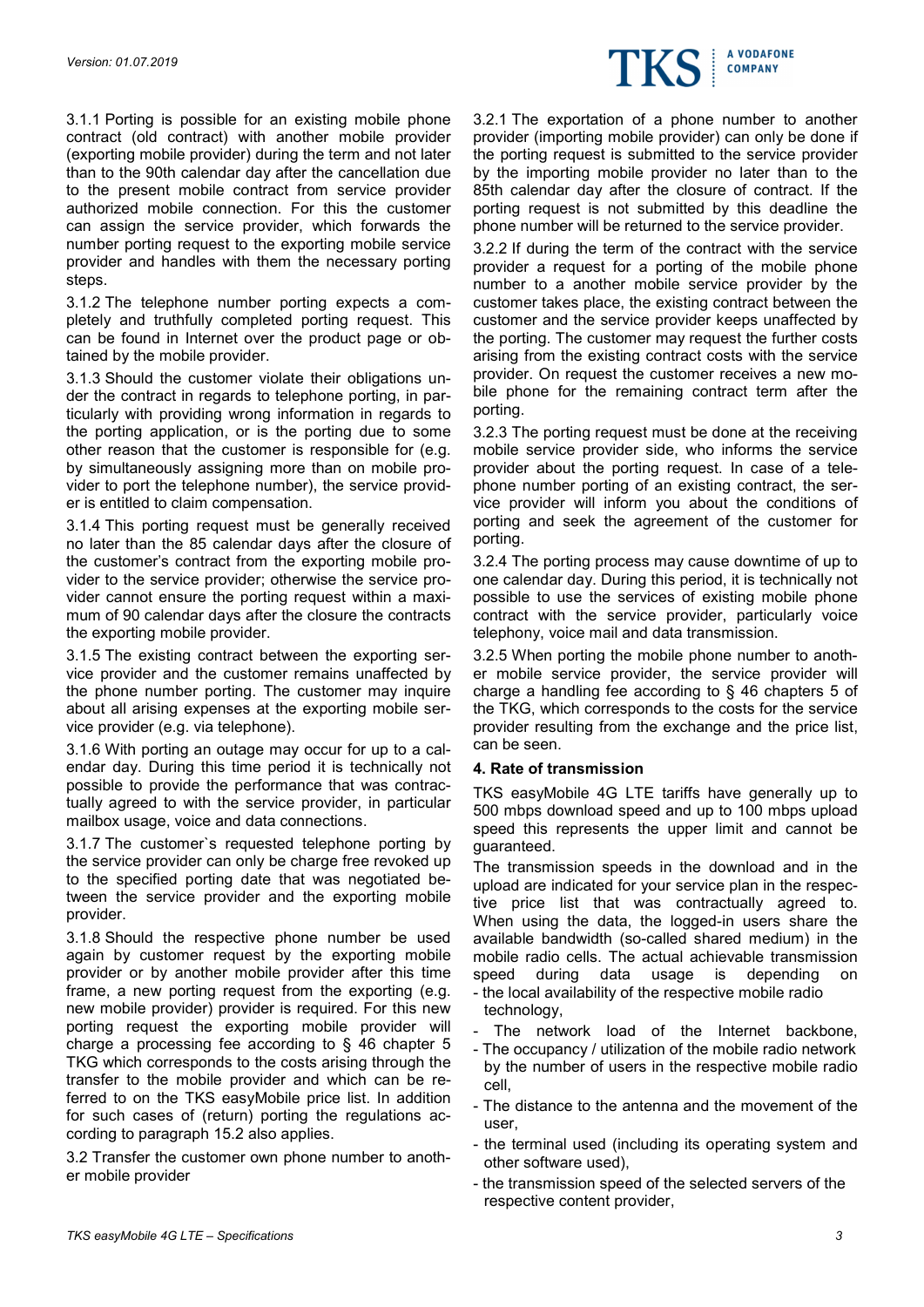

3.1.1 Porting is possible for an existing mobile phone contract (old contract) with another mobile provider (exporting mobile provider) during the term and not later than to the 90th calendar day after the cancellation due to the present mobile contract from service provider authorized mobile connection. For this the customer can assign the service provider, which forwards the number porting request to the exporting mobile service provider and handles with them the necessary porting steps.

3.1.2 The telephone number porting expects a completely and truthfully completed porting request. This can be found in Internet over the product page or obtained by the mobile provider.

3.1.3 Should the customer violate their obligations under the contract in regards to telephone porting, in particularly with providing wrong information in regards to the porting application, or is the porting due to some other reason that the customer is responsible for (e.g. by simultaneously assigning more than on mobile provider to port the telephone number), the service provider is entitled to claim compensation.

3.1.4 This porting request must be generally received no later than the 85 calendar days after the closure of the customer's contract from the exporting mobile provider to the service provider; otherwise the service provider cannot ensure the porting request within a maximum of 90 calendar days after the closure the contracts the exporting mobile provider.

3.1.5 The existing contract between the exporting service provider and the customer remains unaffected by the phone number porting. The customer may inquire about all arising expenses at the exporting mobile service provider (e.g. via telephone).

3.1.6 With porting an outage may occur for up to a calendar day. During this time period it is technically not possible to provide the performance that was contractually agreed to with the service provider, in particular mailbox usage, voice and data connections.

3.1.7 The customer`s requested telephone porting by the service provider can only be charge free revoked up to the specified porting date that was negotiated between the service provider and the exporting mobile provider.

3.1.8 Should the respective phone number be used again by customer request by the exporting mobile provider or by another mobile provider after this time frame, a new porting request from the exporting (e.g. new mobile provider) provider is required. For this new porting request the exporting mobile provider will charge a processing fee according to § 46 chapter 5 TKG which corresponds to the costs arising through the transfer to the mobile provider and which can be referred to on the TKS easyMobile price list. In addition for such cases of (return) porting the regulations according to paragraph 15.2 also applies.

3.2 Transfer the customer own phone number to another mobile provider

3.2.1 The exportation of a phone number to another provider (importing mobile provider) can only be done if the porting request is submitted to the service provider by the importing mobile provider no later than to the 85th calendar day after the closure of contract. If the porting request is not submitted by this deadline the phone number will be returned to the service provider.

3.2.2 If during the term of the contract with the service provider a request for a porting of the mobile phone number to a another mobile service provider by the customer takes place, the existing contract between the customer and the service provider keeps unaffected by the porting. The customer may request the further costs arising from the existing contract costs with the service provider. On request the customer receives a new mobile phone for the remaining contract term after the porting.

3.2.3 The porting request must be done at the receiving mobile service provider side, who informs the service provider about the porting request. In case of a telephone number porting of an existing contract, the service provider will inform you about the conditions of porting and seek the agreement of the customer for porting.

3.2.4 The porting process may cause downtime of up to one calendar day. During this period, it is technically not possible to use the services of existing mobile phone contract with the service provider, particularly voice telephony, voice mail and data transmission.

3.2.5 When porting the mobile phone number to another mobile service provider, the service provider will charge a handling fee according to § 46 chapters 5 of the TKG, which corresponds to the costs for the service provider resulting from the exchange and the price list, can be seen.

### 4. Rate of transmission

TKS easyMobile 4G LTE tariffs have generally up to 500 mbps download speed and up to 100 mbps upload speed this represents the upper limit and cannot be guaranteed.

The transmission speeds in the download and in the upload are indicated for your service plan in the respective price list that was contractually agreed to. When using the data, the logged-in users share the available bandwidth (so-called shared medium) in the mobile radio cells. The actual achievable transmission speed during data usage is depending on

- the local availability of the respective mobile radio technology,
- The network load of the Internet backbone,
- The occupancy / utilization of the mobile radio network by the number of users in the respective mobile radio cell,
- The distance to the antenna and the movement of the user,
- the terminal used (including its operating system and other software used),
- the transmission speed of the selected servers of the respective content provider,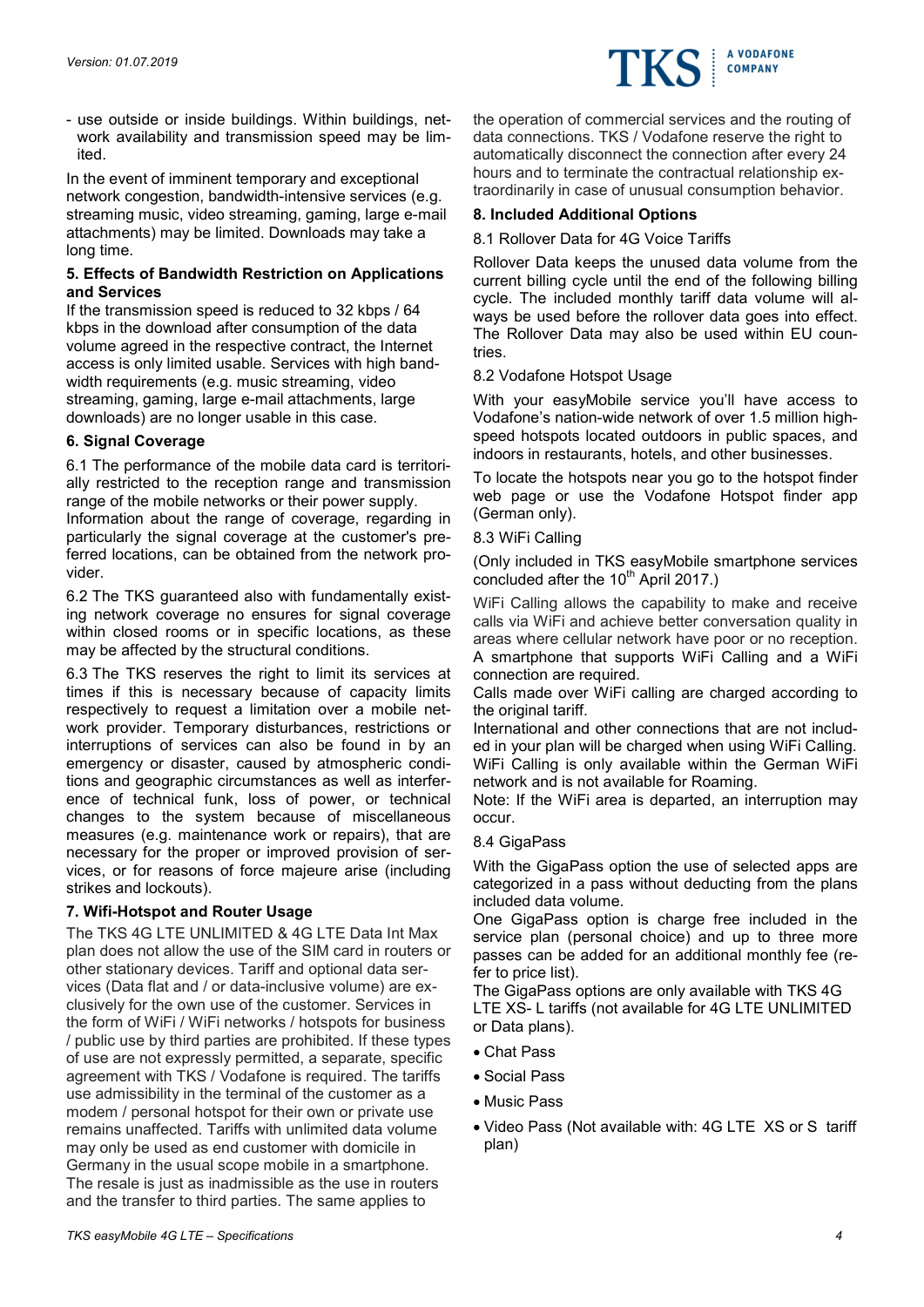

- use outside or inside buildings. Within buildings, network availability and transmission speed may be limited.

In the event of imminent temporary and exceptional network congestion, bandwidth-intensive services (e.g. streaming music, video streaming, gaming, large e-mail attachments) may be limited. Downloads may take a long time.

# 5. Effects of Bandwidth Restriction on Applications and Services

If the transmission speed is reduced to 32 kbps / 64 kbps in the download after consumption of the data volume agreed in the respective contract, the Internet access is only limited usable. Services with high bandwidth requirements (e.g. music streaming, video streaming, gaming, large e-mail attachments, large downloads) are no longer usable in this case.

# 6. Signal Coverage

6.1 The performance of the mobile data card is territorially restricted to the reception range and transmission range of the mobile networks or their power supply.

Information about the range of coverage, regarding in particularly the signal coverage at the customer's preferred locations, can be obtained from the network provider.

6.2 The TKS guaranteed also with fundamentally existing network coverage no ensures for signal coverage within closed rooms or in specific locations, as these may be affected by the structural conditions.

6.3 The TKS reserves the right to limit its services at times if this is necessary because of capacity limits respectively to request a limitation over a mobile network provider. Temporary disturbances, restrictions or interruptions of services can also be found in by an emergency or disaster, caused by atmospheric conditions and geographic circumstances as well as interference of technical funk, loss of power, or technical changes to the system because of miscellaneous measures (e.g. maintenance work or repairs), that are necessary for the proper or improved provision of services, or for reasons of force majeure arise (including strikes and lockouts).

# 7. Wifi-Hotspot and Router Usage

The TKS 4G LTE UNLIMITED & 4G LTE Data Int Max plan does not allow the use of the SIM card in routers or other stationary devices. Tariff and optional data services (Data flat and / or data-inclusive volume) are exclusively for the own use of the customer. Services in the form of WiFi / WiFi networks / hotspots for business / public use by third parties are prohibited. If these types of use are not expressly permitted, a separate, specific agreement with TKS / Vodafone is required. The tariffs use admissibility in the terminal of the customer as a modem / personal hotspot for their own or private use remains unaffected. Tariffs with unlimited data volume may only be used as end customer with domicile in Germany in the usual scope mobile in a smartphone. The resale is just as inadmissible as the use in routers and the transfer to third parties. The same applies to

the operation of commercial services and the routing of data connections. TKS / Vodafone reserve the right to automatically disconnect the connection after every 24 hours and to terminate the contractual relationship extraordinarily in case of unusual consumption behavior.

# 8. Included Additional Options

# 8.1 Rollover Data for 4G Voice Tariffs

Rollover Data keeps the unused data volume from the current billing cycle until the end of the following billing cycle. The included monthly tariff data volume will always be used before the rollover data goes into effect. The Rollover Data may also be used within EU countries.

# 8.2 Vodafone Hotspot Usage

With your easyMobile service you'll have access to Vodafone's nation-wide network of over 1.5 million highspeed hotspots located outdoors in public spaces, and indoors in restaurants, hotels, and other businesses.

To locate the hotspots near you go to the hotspot finder web page or use the Vodafone Hotspot finder app (German only).

# 8.3 WiFi Calling

(Only included in TKS easyMobile smartphone services concluded after the 10<sup>th</sup> April 2017.)

WiFi Calling allows the capability to make and receive calls via WiFi and achieve better conversation quality in areas where cellular network have poor or no reception. A smartphone that supports WiFi Calling and a WiFi connection are required.

Calls made over WiFi calling are charged according to the original tariff.

International and other connections that are not included in your plan will be charged when using WiFi Calling. WiFi Calling is only available within the German WiFi network and is not available for Roaming.

Note: If the WiFi area is departed, an interruption may occur.

# 8.4 GigaPass

With the GigaPass option the use of selected apps are categorized in a pass without deducting from the plans included data volume.

One GigaPass option is charge free included in the service plan (personal choice) and up to three more passes can be added for an additional monthly fee (refer to price list).

The GigaPass options are only available with TKS 4G LTE XS- L tariffs (not available for 4G LTE UNLIMITED or Data plans).

- Chat Pass
- Social Pass
- Music Pass
- Video Pass (Not available with: 4G LTE XS or S tariff plan)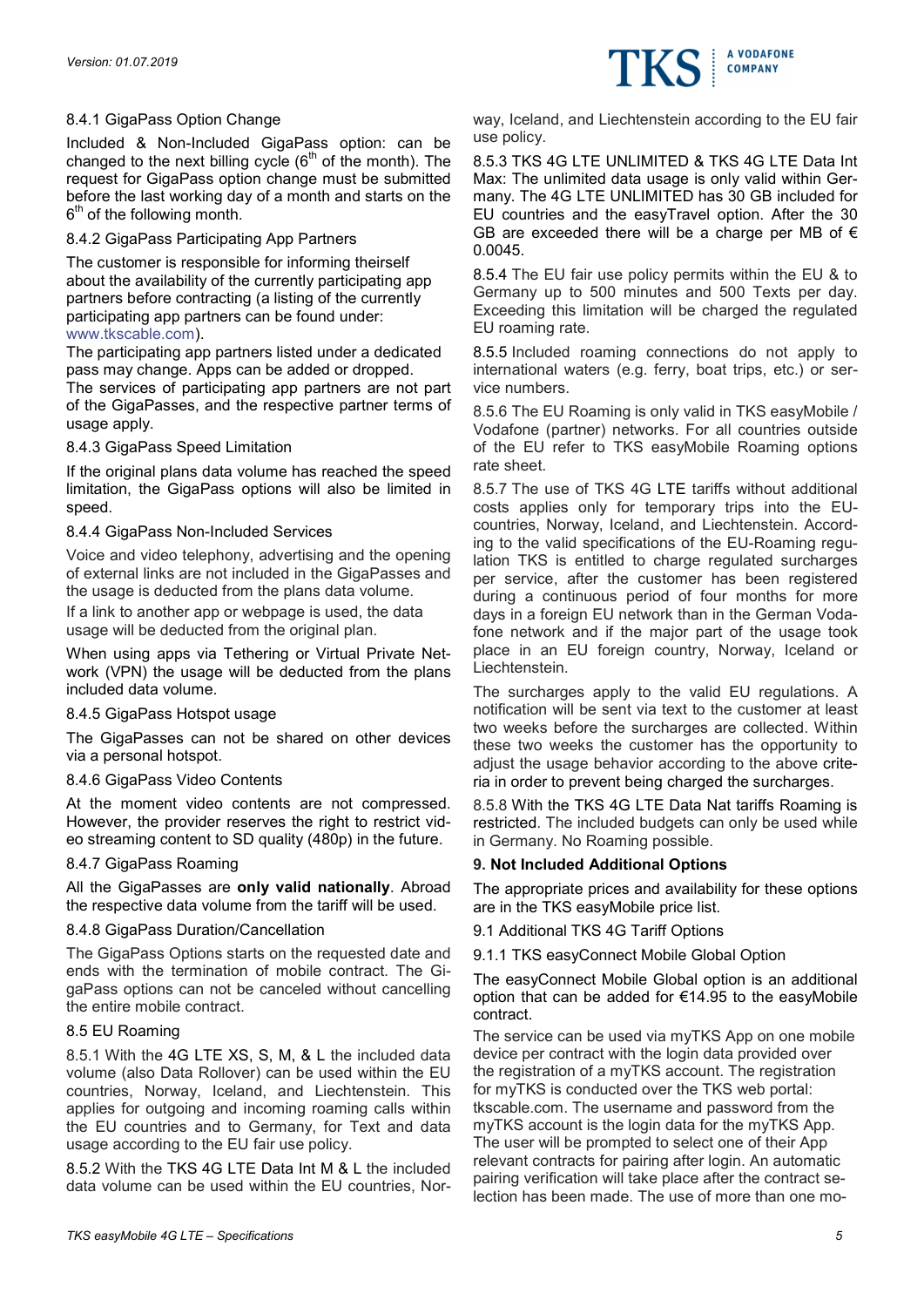# 8.4.1 GigaPass Option Change

Included & Non-Included GigaPass option: can be changed to the next billing cycle  $(6<sup>th</sup>$  of the month). The request for GigaPass option change must be submitted before the last working day of a month and starts on the 6<sup>th</sup> of the following month.

# 8.4.2 GigaPass Participating App Partners

The customer is responsible for informing theirself about the availability of the currently participating app partners before contracting (a listing of the currently participating app partners can be found under: www.tkscable.com).

The participating app partners listed under a dedicated pass may change. Apps can be added or dropped.

The services of participating app partners are not part of the GigaPasses, and the respective partner terms of usage apply.

# 8.4.3 GigaPass Speed Limitation

If the original plans data volume has reached the speed limitation, the GigaPass options will also be limited in speed.

# 8.4.4 GigaPass Non-Included Services

Voice and video telephony, advertising and the opening of external links are not included in the GigaPasses and the usage is deducted from the plans data volume.

If a link to another app or webpage is used, the data usage will be deducted from the original plan.

When using apps via Tethering or Virtual Private Network (VPN) the usage will be deducted from the plans included data volume.

### 8.4.5 GigaPass Hotspot usage

The GigaPasses can not be shared on other devices via a personal hotspot.

### 8.4.6 GigaPass Video Contents

At the moment video contents are not compressed. However, the provider reserves the right to restrict video streaming content to SD quality (480p) in the future.

### 8.4.7 GigaPass Roaming

All the GigaPasses are only valid nationally. Abroad the respective data volume from the tariff will be used.

### 8.4.8 GigaPass Duration/Cancellation

The GigaPass Options starts on the requested date and ends with the termination of mobile contract. The GigaPass options can not be canceled without cancelling the entire mobile contract.

### 8.5 EU Roaming

8.5.1 With the 4G LTE XS, S, M, & L the included data volume (also Data Rollover) can be used within the EU countries, Norway, Iceland, and Liechtenstein. This applies for outgoing and incoming roaming calls within the EU countries and to Germany, for Text and data usage according to the EU fair use policy.

8.5.2 With the TKS 4G LTE Data Int M & L the included data volume can be used within the EU countries, Norway, Iceland, and Liechtenstein according to the EU fair use policy.

**A VODAFONE COMPANY** 

8.5.3 TKS 4G LTE UNLIMITED & TKS 4G LTE Data Int Max: The unlimited data usage is only valid within Germany. The 4G LTE UNLIMITED has 30 GB included for EU countries and the easyTravel option. After the 30 GB are exceeded there will be a charge per MB of  $\epsilon$ 0.0045.

8.5.4 The EU fair use policy permits within the EU & to Germany up to 500 minutes and 500 Texts per day. Exceeding this limitation will be charged the regulated EU roaming rate.

8.5.5 Included roaming connections do not apply to international waters (e.g. ferry, boat trips, etc.) or service numbers.

8.5.6 The EU Roaming is only valid in TKS easyMobile / Vodafone (partner) networks. For all countries outside of the EU refer to TKS easyMobile Roaming options rate sheet.

8.5.7 The use of TKS 4G LTE tariffs without additional costs applies only for temporary trips into the EUcountries, Norway, Iceland, and Liechtenstein. According to the valid specifications of the EU-Roaming regulation TKS is entitled to charge regulated surcharges per service, after the customer has been registered during a continuous period of four months for more days in a foreign EU network than in the German Vodafone network and if the major part of the usage took place in an EU foreign country, Norway, Iceland or Liechtenstein.

The surcharges apply to the valid EU regulations. A notification will be sent via text to the customer at least two weeks before the surcharges are collected. Within these two weeks the customer has the opportunity to adjust the usage behavior according to the above criteria in order to prevent being charged the surcharges.

8.5.8 With the TKS 4G LTE Data Nat tariffs Roaming is restricted. The included budgets can only be used while in Germany. No Roaming possible.

### 9. Not Included Additional Options

The appropriate prices and availability for these options are in the TKS easyMobile price list.

9.1 Additional TKS 4G Tariff Options

9.1.1 TKS easyConnect Mobile Global Option

The easyConnect Mobile Global option is an additional option that can be added for €14.95 to the easyMobile contract.

The service can be used via myTKS App on one mobile device per contract with the login data provided over the registration of a myTKS account. The registration for myTKS is conducted over the TKS web portal: tkscable.com. The username and password from the myTKS account is the login data for the myTKS App. The user will be prompted to select one of their App relevant contracts for pairing after login. An automatic pairing verification will take place after the contract selection has been made. The use of more than one mo-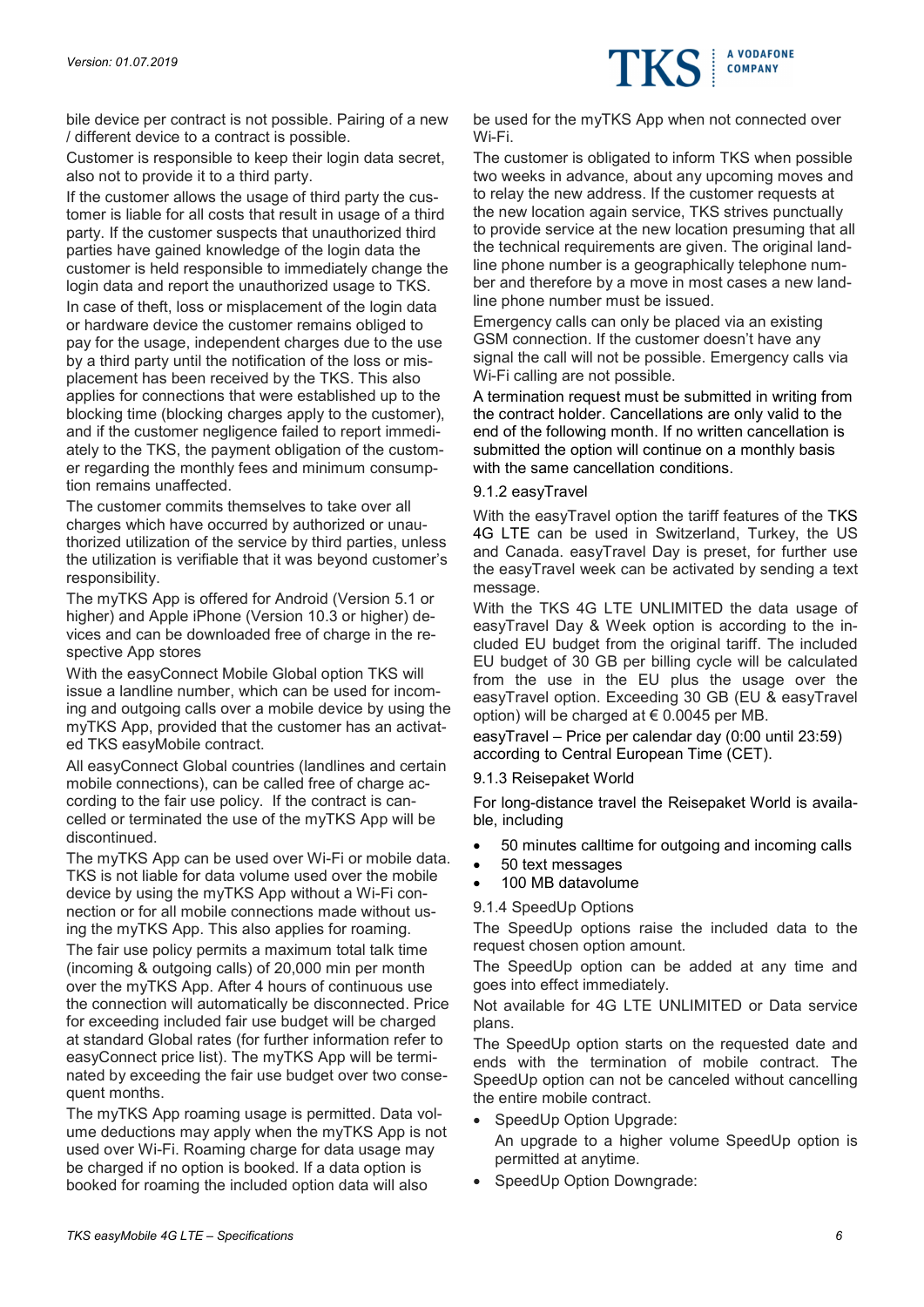

Customer is responsible to keep their login data secret, also not to provide it to a third party.

If the customer allows the usage of third party the customer is liable for all costs that result in usage of a third party. If the customer suspects that unauthorized third parties have gained knowledge of the login data the customer is held responsible to immediately change the login data and report the unauthorized usage to TKS. In case of theft, loss or misplacement of the login data or hardware device the customer remains obliged to pay for the usage, independent charges due to the use by a third party until the notification of the loss or misplacement has been received by the TKS. This also applies for connections that were established up to the blocking time (blocking charges apply to the customer), and if the customer negligence failed to report immediately to the TKS, the payment obligation of the customer regarding the monthly fees and minimum consumption remains unaffected.

The customer commits themselves to take over all charges which have occurred by authorized or unauthorized utilization of the service by third parties, unless the utilization is verifiable that it was beyond customer's responsibility.

The myTKS App is offered for Android (Version 5.1 or higher) and Apple iPhone (Version 10.3 or higher) devices and can be downloaded free of charge in the respective App stores

With the easyConnect Mobile Global option TKS will issue a landline number, which can be used for incoming and outgoing calls over a mobile device by using the myTKS App, provided that the customer has an activated TKS easyMobile contract.

All easyConnect Global countries (landlines and certain mobile connections), can be called free of charge according to the fair use policy. If the contract is cancelled or terminated the use of the myTKS App will be discontinued.

The myTKS App can be used over Wi-Fi or mobile data. TKS is not liable for data volume used over the mobile device by using the myTKS App without a Wi-Fi connection or for all mobile connections made without using the myTKS App. This also applies for roaming.

The fair use policy permits a maximum total talk time (incoming & outgoing calls) of 20,000 min per month over the myTKS App. After 4 hours of continuous use the connection will automatically be disconnected. Price for exceeding included fair use budget will be charged at standard Global rates (for further information refer to easyConnect price list). The myTKS App will be terminated by exceeding the fair use budget over two consequent months.

The myTKS App roaming usage is permitted. Data volume deductions may apply when the myTKS App is not used over Wi-Fi. Roaming charge for data usage may be charged if no option is booked. If a data option is booked for roaming the included option data will also

be used for the myTKS App when not connected over Wi-Fi.

**A VODAFONE COMPANY** 

The customer is obligated to inform TKS when possible two weeks in advance, about any upcoming moves and to relay the new address. If the customer requests at the new location again service, TKS strives punctually to provide service at the new location presuming that all the technical requirements are given. The original landline phone number is a geographically telephone number and therefore by a move in most cases a new landline phone number must be issued.

Emergency calls can only be placed via an existing GSM connection. If the customer doesn't have any signal the call will not be possible. Emergency calls via Wi-Fi calling are not possible.

A termination request must be submitted in writing from the contract holder. Cancellations are only valid to the end of the following month. If no written cancellation is submitted the option will continue on a monthly basis with the same cancellation conditions.

### 9.1.2 easyTravel

With the easyTravel option the tariff features of the TKS 4G LTE can be used in Switzerland, Turkey, the US and Canada. easyTravel Day is preset, for further use the easyTravel week can be activated by sending a text message.

With the TKS 4G LTE UNLIMITED the data usage of easyTravel Day & Week option is according to the included EU budget from the original tariff. The included EU budget of 30 GB per billing cycle will be calculated from the use in the EU plus the usage over the easyTravel option. Exceeding 30 GB (EU & easyTravel option) will be charged at  $\epsilon$  0.0045 per MB.

easyTravel – Price per calendar day (0:00 until 23:59) according to Central European Time (CET).

### 9.1.3 Reisepaket World

For long-distance travel the Reisepaket World is available, including

- 50 minutes calltime for outgoing and incoming calls
- 50 text messages
- 100 MB datavolume

9.1.4 SpeedUp Options

The SpeedUp options raise the included data to the request chosen option amount.

The SpeedUp option can be added at any time and goes into effect immediately.

Not available for 4G LTE UNLIMITED or Data service plans.

The SpeedUp option starts on the requested date and ends with the termination of mobile contract. The SpeedUp option can not be canceled without cancelling the entire mobile contract.

- SpeedUp Option Upgrade: An upgrade to a higher volume SpeedUp option is permitted at anytime.
- SpeedUp Option Downgrade: